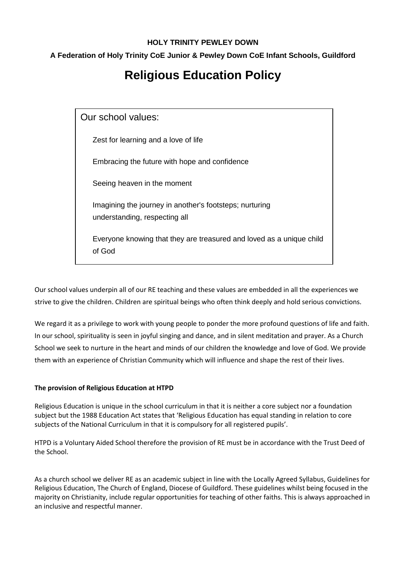## **HOLY TRINITY PEWLEY DOWN**

## **A Federation of Holy Trinity CoE Junior & Pewley Down CoE Infant Schools, Guildford**

# **Religious Education Policy**

Our school values: Zest for learning and a love of life Embracing the future with hope and confidence Seeing heaven in the moment Imagining the journey in another's footsteps; nurturing understanding, respecting all Everyone knowing that they are treasured and loved as a unique child of God

Our school values underpin all of our RE teaching and these values are embedded in all the experiences we strive to give the children. Children are spiritual beings who often think deeply and hold serious convictions.

We regard it as a privilege to work with young people to ponder the more profound questions of life and faith. In our school, spirituality is seen in joyful singing and dance, and in silent meditation and prayer. As a Church School we seek to nurture in the heart and minds of our children the knowledge and love of God. We provide them with an experience of Christian Community which will influence and shape the rest of their lives.

## **The provision of Religious Education at HTPD**

Religious Education is unique in the school curriculum in that it is neither a core subject nor a foundation subject but the 1988 Education Act states that 'Religious Education has equal standing in relation to core subjects of the National Curriculum in that it is compulsory for all registered pupils'.

HTPD is a Voluntary Aided School therefore the provision of RE must be in accordance with the Trust Deed of the School.

As a church school we deliver RE as an academic subject in line with the Locally Agreed Syllabus, Guidelines for Religious Education, The Church of England, Diocese of Guildford. These guidelines whilst being focused in the majority on Christianity, include regular opportunities for teaching of other faiths. This is always approached in an inclusive and respectful manner.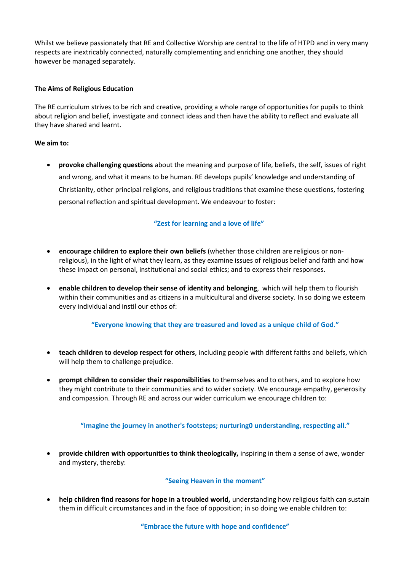Whilst we believe passionately that RE and Collective Worship are central to the life of HTPD and in very many respects are inextricably connected, naturally complementing and enriching one another, they should however be managed separately.

## **The Aims of Religious Education**

The RE curriculum strives to be rich and creative, providing a whole range of opportunities for pupils to think about religion and belief, investigate and connect ideas and then have the ability to reflect and evaluate all they have shared and learnt.

#### **We aim to:**

 **provoke challenging questions** about the meaning and purpose of life, beliefs, the self, issues of right and wrong, and what it means to be human. RE develops pupils' knowledge and understanding of Christianity, other principal religions, and religious traditions that examine these questions, fostering personal reflection and spiritual development. We endeavour to foster:

## **"Zest for learning and a love of life"**

- **encourage children to explore their own beliefs** (whether those children are religious or nonreligious), in the light of what they learn, as they examine issues of religious belief and faith and how these impact on personal, institutional and social ethics; and to express their responses.
- **enable children to develop their sense of identity and belonging**, which will help them to flourish within their communities and as citizens in a multicultural and diverse society. In so doing we esteem every individual and instil our ethos of:

## **"Everyone knowing that they are treasured and loved as a unique child of God."**

- **teach children to develop respect for others**, including people with different faiths and beliefs, which will help them to challenge prejudice.
- **prompt children to consider their responsibilities** to themselves and to others, and to explore how they might contribute to their communities and to wider society. We encourage empathy, generosity and compassion. Through RE and across our wider curriculum we encourage children to:

## **"Imagine the journey in another's footsteps; nurturing0 understanding, respecting all."**

 **provide children with opportunities to think theologically,** inspiring in them a sense of awe, wonder and mystery, thereby:

#### **"Seeing Heaven in the moment"**

 **help children find reasons for hope in a troubled world,** understanding how religious faith can sustain them in difficult circumstances and in the face of opposition; in so doing we enable children to:

**"Embrace the future with hope and confidence"**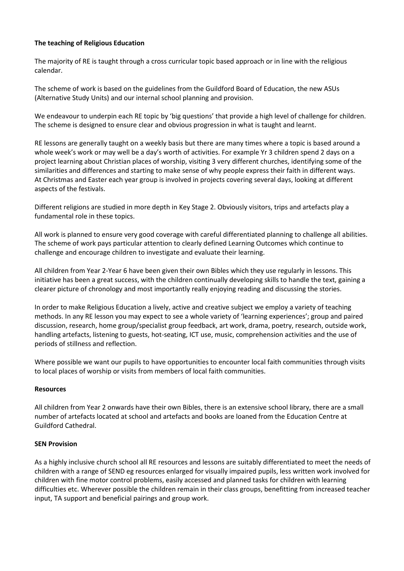## **The teaching of Religious Education**

The majority of RE is taught through a cross curricular topic based approach or in line with the religious calendar.

The scheme of work is based on the guidelines from the Guildford Board of Education, the new ASUs (Alternative Study Units) and our internal school planning and provision.

We endeavour to underpin each RE topic by 'big questions' that provide a high level of challenge for children. The scheme is designed to ensure clear and obvious progression in what is taught and learnt.

RE lessons are generally taught on a weekly basis but there are many times where a topic is based around a whole week's work or may well be a day's worth of activities. For example Yr 3 children spend 2 days on a project learning about Christian places of worship, visiting 3 very different churches, identifying some of the similarities and differences and starting to make sense of why people express their faith in different ways. At Christmas and Easter each year group is involved in projects covering several days, looking at different aspects of the festivals.

Different religions are studied in more depth in Key Stage 2. Obviously visitors, trips and artefacts play a fundamental role in these topics.

All work is planned to ensure very good coverage with careful differentiated planning to challenge all abilities. The scheme of work pays particular attention to clearly defined Learning Outcomes which continue to challenge and encourage children to investigate and evaluate their learning.

All children from Year 2-Year 6 have been given their own Bibles which they use regularly in lessons. This initiative has been a great success, with the children continually developing skills to handle the text, gaining a clearer picture of chronology and most importantly really enjoying reading and discussing the stories.

In order to make Religious Education a lively, active and creative subject we employ a variety of teaching methods. In any RE lesson you may expect to see a whole variety of 'learning experiences'; group and paired discussion, research, home group/specialist group feedback, art work, drama, poetry, research, outside work, handling artefacts, listening to guests, hot-seating, ICT use, music, comprehension activities and the use of periods of stillness and reflection.

Where possible we want our pupils to have opportunities to encounter local faith communities through visits to local places of worship or visits from members of local faith communities.

### **Resources**

All children from Year 2 onwards have their own Bibles, there is an extensive school library, there are a small number of artefacts located at school and artefacts and books are loaned from the Education Centre at Guildford Cathedral.

#### **SEN Provision**

As a highly inclusive church school all RE resources and lessons are suitably differentiated to meet the needs of children with a range of SEND eg resources enlarged for visually impaired pupils, less written work involved for children with fine motor control problems, easily accessed and planned tasks for children with learning difficulties etc. Wherever possible the children remain in their class groups, benefitting from increased teacher input, TA support and beneficial pairings and group work.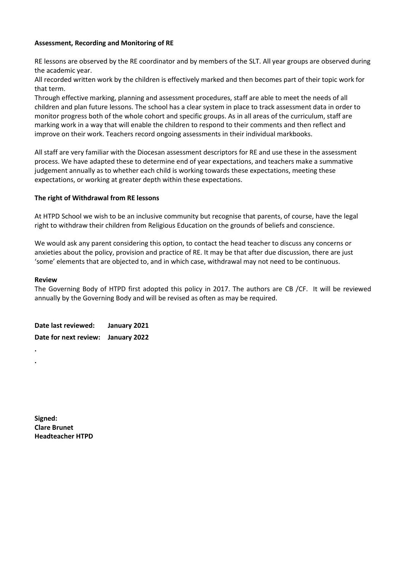## **Assessment, Recording and Monitoring of RE**

RE lessons are observed by the RE coordinator and by members of the SLT. All year groups are observed during the academic year.

All recorded written work by the children is effectively marked and then becomes part of their topic work for that term.

Through effective marking, planning and assessment procedures, staff are able to meet the needs of all children and plan future lessons. The school has a clear system in place to track assessment data in order to monitor progress both of the whole cohort and specific groups. As in all areas of the curriculum, staff are marking work in a way that will enable the children to respond to their comments and then reflect and improve on their work. Teachers record ongoing assessments in their individual markbooks.

All staff are very familiar with the Diocesan assessment descriptors for RE and use these in the assessment process. We have adapted these to determine end of year expectations, and teachers make a summative judgement annually as to whether each child is working towards these expectations, meeting these expectations, or working at greater depth within these expectations.

#### **The right of Withdrawal from RE lessons**

At HTPD School we wish to be an inclusive community but recognise that parents, of course, have the legal right to withdraw their children from Religious Education on the grounds of beliefs and conscience.

We would ask any parent considering this option, to contact the head teacher to discuss any concerns or anxieties about the policy, provision and practice of RE. It may be that after due discussion, there are just 'some' elements that are objected to, and in which case, withdrawal may not need to be continuous.

#### **Review**

**. .**

The Governing Body of HTPD first adopted this policy in 2017. The authors are CB /CF. It will be reviewed annually by the Governing Body and will be revised as often as may be required.

**Date last reviewed: January 2021 Date for next review: January 2022** 

**Signed: Clare Brunet Headteacher HTPD**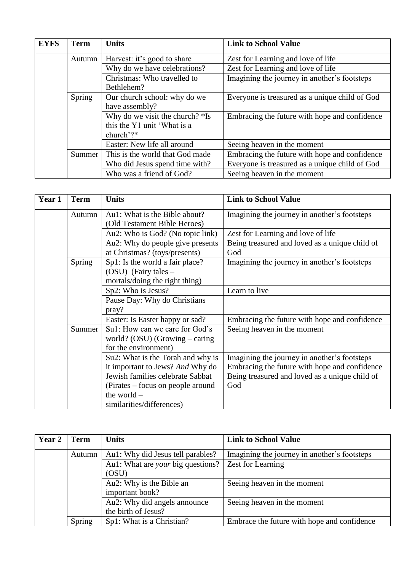| <b>EYFS</b> | <b>Term</b>   | <b>Units</b>                    | <b>Link to School Value</b>                    |
|-------------|---------------|---------------------------------|------------------------------------------------|
|             | Autumn        | Harvest: it's good to share     | Zest for Learning and love of life             |
|             |               | Why do we have celebrations?    | Zest for Learning and love of life             |
|             |               | Christmas: Who travelled to     | Imagining the journey in another's footsteps   |
|             |               | Bethlehem?                      |                                                |
|             | <b>Spring</b> | Our church school: why do we    | Everyone is treasured as a unique child of God |
|             |               | have assembly?                  |                                                |
|             |               | Why do we visit the church? *Is | Embracing the future with hope and confidence  |
|             |               | this the Y1 unit 'What is a     |                                                |
|             |               | church'?*                       |                                                |
|             |               | Easter: New life all around     | Seeing heaven in the moment                    |
|             | Summer        | This is the world that God made | Embracing the future with hope and confidence  |
|             |               | Who did Jesus spend time with?  | Everyone is treasured as a unique child of God |
|             |               | Who was a friend of God?        | Seeing heaven in the moment                    |

| Year 1 | <b>Term</b> | <b>Units</b>                      | <b>Link to School Value</b>                    |
|--------|-------------|-----------------------------------|------------------------------------------------|
|        | Autumn      | Au1: What is the Bible about?     | Imagining the journey in another's footsteps   |
|        |             | (Old Testament Bible Heroes)      |                                                |
|        |             | Au2: Who is God? (No topic link)  | Zest for Learning and love of life             |
|        |             | Au2: Why do people give presents  | Being treasured and loved as a unique child of |
|        |             | at Christmas? (toys/presents)     | God                                            |
|        | Spring      | Sp1: Is the world a fair place?   | Imagining the journey in another's footsteps   |
|        |             | $(OSU)$ (Fairy tales –            |                                                |
|        |             | mortals/doing the right thing)    |                                                |
|        |             | Sp2: Who is Jesus?                | Learn to live                                  |
|        |             | Pause Day: Why do Christians      |                                                |
|        |             | pray?                             |                                                |
|        |             | Easter: Is Easter happy or sad?   | Embracing the future with hope and confidence  |
|        | Summer      | Su1: How can we care for God's    | Seeing heaven in the moment                    |
|        |             | world? $(OSU)$ (Growing – caring  |                                                |
|        |             | for the environment)              |                                                |
|        |             | Su2: What is the Torah and why is | Imagining the journey in another's footsteps   |
|        |             | it important to Jews? And Why do  | Embracing the future with hope and confidence  |
|        |             | Jewish families celebrate Sabbat  | Being treasured and loved as a unique child of |
|        |             | (Pirates – focus on people around | God                                            |
|        |             | the world $-$                     |                                                |
|        |             | similarities/differences)         |                                                |

| Year 2 | Term   | <b>Units</b>                             | <b>Link to School Value</b>                  |
|--------|--------|------------------------------------------|----------------------------------------------|
|        | Autumn | Au1: Why did Jesus tell parables?        | Imagining the journey in another's footsteps |
|        |        | Au1: What are <i>your</i> big questions? | Zest for Learning                            |
|        |        | (OSU)                                    |                                              |
|        |        | Au2: Why is the Bible an                 | Seeing heaven in the moment                  |
|        |        | important book?                          |                                              |
|        |        | Au2: Why did angels announce             | Seeing heaven in the moment                  |
|        |        | the birth of Jesus?                      |                                              |
|        | Spring | Sp1: What is a Christian?                | Embrace the future with hope and confidence  |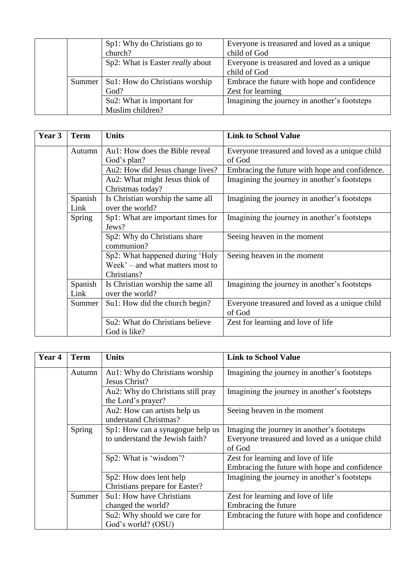|        | Sp1: Why do Christians go to<br>church?        | Everyone is treasured and loved as a unique<br>child of God      |
|--------|------------------------------------------------|------------------------------------------------------------------|
|        | Sp2: What is Easter <i>really</i> about        | Everyone is treasured and loved as a unique<br>child of God      |
| Summer | Su1: How do Christians worship<br>God?         | Embrace the future with hope and confidence<br>Zest for learning |
|        | Su2: What is important for<br>Muslim children? | Imagining the journey in another's footsteps                     |

| Year 3 | <b>Term</b>     | <b>Units</b>                                                                       | <b>Link to School Value</b>                              |
|--------|-----------------|------------------------------------------------------------------------------------|----------------------------------------------------------|
|        | Autumn          | Au1: How does the Bible reveal                                                     | Everyone treasured and loved as a unique child           |
|        |                 | God's plan?                                                                        | of God                                                   |
|        |                 | Au2: How did Jesus change lives?                                                   | Embracing the future with hope and confidence.           |
|        |                 | Au2: What might Jesus think of<br>Christmas today?                                 | Imagining the journey in another's footsteps             |
|        | Spanish<br>Link | Is Christian worship the same all<br>over the world?                               | Imagining the journey in another's footsteps             |
|        | Spring          | Sp1: What are important times for<br>Jews?                                         | Imagining the journey in another's footsteps             |
|        |                 | Sp2: Why do Christians share<br>communion?                                         | Seeing heaven in the moment                              |
|        |                 | Sp2: What happened during 'Holy<br>Week' – and what matters most to<br>Christians? | Seeing heaven in the moment                              |
|        | Spanish<br>Link | Is Christian worship the same all<br>over the world?                               | Imagining the journey in another's footsteps             |
|        | Summer          | Su1: How did the church begin?                                                     | Everyone treasured and loved as a unique child<br>of God |
|        |                 | Su2: What do Christians believe<br>God is like?                                    | Zest for learning and love of life                       |

| Year 4 | <b>Term</b> | <b>Units</b>                      | <b>Link to School Value</b>                    |
|--------|-------------|-----------------------------------|------------------------------------------------|
|        | Autumn      | Au1: Why do Christians worship    | Imagining the journey in another's footsteps   |
|        |             | Jesus Christ?                     |                                                |
|        |             | Au2: Why do Christians still pray | Imagining the journey in another's footsteps   |
|        |             | the Lord's prayer?                |                                                |
|        |             | Au2: How can artists help us      | Seeing heaven in the moment                    |
|        |             | understand Christmas?             |                                                |
|        | Spring      | Sp1: How can a synagogue help us  | Imaging the journey in another's footsteps     |
|        |             | to understand the Jewish faith?   | Everyone treasured and loved as a unique child |
|        |             |                                   | of God                                         |
|        |             | Sp2: What is 'wisdom'?            | Zest for learning and love of life             |
|        |             |                                   | Embracing the future with hope and confidence  |
|        |             | Sp2: How does lent help           | Imagining the journey in another's footsteps   |
|        |             | Christians prepare for Easter?    |                                                |
|        | Summer      | Su1: How have Christians          | Zest for learning and love of life             |
|        |             | changed the world?                | Embracing the future                           |
|        |             | Su2: Why should we care for       | Embracing the future with hope and confidence  |
|        |             | God's world? (OSU)                |                                                |